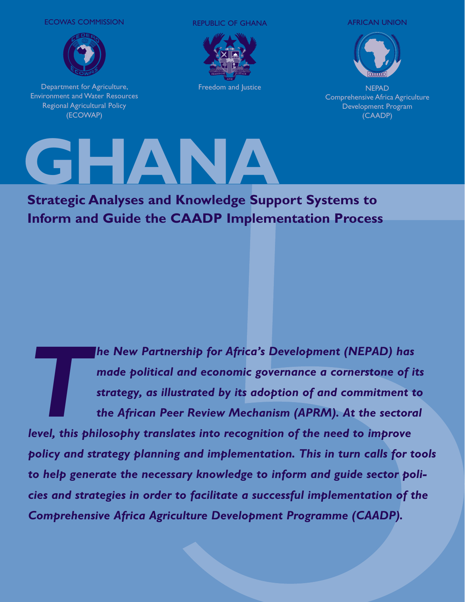ECOWAS COMMISSION



Department for Agriculture, Environment and Water Resources Regional Agricultural Policy (ECOWAP)

REPUBLIC OF GHANA AFRICAN UNION



Freedom and Justice



**NEPAD** Comprehensive Africa Agriculture Development Program (CAADP)



**Strategic Analyses and Knowledge Support Systems to Inform and Guide the CAADP Implementation Process**

**The New Partnership for Africa's Development (NEPAD) has made political and economic governance a cornerstone of it strategy, as illustrated by its adoption of and commitment to the African Peer Review Mechanism (APRM). A** *made political and economic governance a cornerstone of its strategy, as illustrated by its adoption of and commitment to the African Peer Review Mechanism (APRM). At the sectoral policy and strategy planning and implementation. This in turn calls for tools to help generate the necessary knowledge to inform and guide sector policies and strategies in order to facilitate a successful implementation of the Comprehensive Africa Agriculture Development Programme (CAADP).*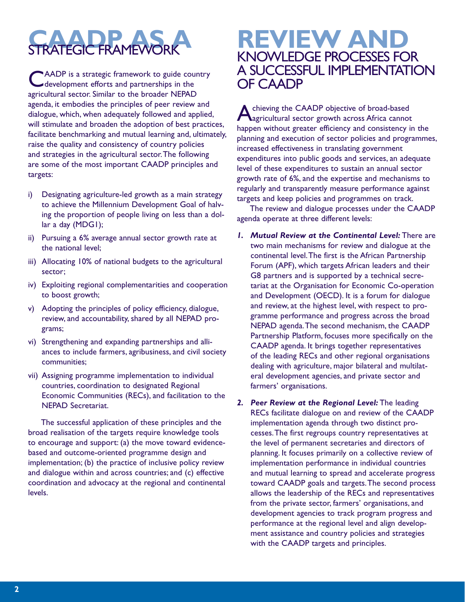

AADP is a strategic framework to guide country development efforts and partnerships in the agricultural sector. Similar to the broader NEPAD agenda, it embodies the principles of peer review and dialogue, which, when adequately followed and applied, will stimulate and broaden the adoption of best practices, facilitate benchmarking and mutual learning and, ultimately, raise the quality and consistency of country policies and strategies in the agricultural sector. The following are some of the most important CAADP principles and targets:

- i) Designating agriculture-led growth as a main strategy to achieve the Millennium Development Goal of halving the proportion of people living on less than a dollar a day (MDG1);
- ii) Pursuing a 6% average annual sector growth rate at the national level;
- iii) Allocating 10% of national budgets to the agricultural sector;
- iv) Exploiting regional complementarities and cooperation to boost growth;
- v) Adopting the principles of policy efficiency, dialogue, review, and accountability, shared by all NEPAD programs;
- vi) Strengthening and expanding partnerships and alliances to include farmers, agribusiness, and civil society communities;
- vii) Assigning programme implementation to individual countries, coordination to designated Regional Economic Communities (RECs), and facilitation to the NEPAD Secretariat.

The successful application of these principles and the broad realisation of the targets require knowledge tools to encourage and support: (a) the move toward evidencebased and outcome-oriented programme design and implementation; (b) the practice of inclusive policy review and dialogue within and across countries; and (c) effective coordination and advocacy at the regional and continental levels.

# **REVIEW AND**  KNOWLEDGE PROCESSES FOR A SUCCESSFUL IMPLEMENTATION OF CAADP

chieving the CAADP objective of broad-based agricultural sector growth across Africa cannot happen without greater efficiency and consistency in the planning and execution of sector policies and programmes, increased effectiveness in translating government expenditures into public goods and services, an adequate level of these expenditures to sustain an annual sector growth rate of 6%, and the expertise and mechanisms to regularly and transparently measure performance against targets and keep policies and programmes on track.

The review and dialogue processes under the CAADP agenda operate at three different levels:

- *1. Mutual Review at the Continental Level:* There are two main mechanisms for review and dialogue at the continental level. The first is the African Partnership Forum (APF), which targets African leaders and their G8 partners and is supported by a technical secretariat at the Organisation for Economic Co-operation and Development (OECD). It is a forum for dialogue and review, at the highest level, with respect to programme performance and progress across the broad NEPAD agenda. The second mechanism, the CAADP Partnership Platform, focuses more specifically on the CAADP agenda. It brings together representatives of the leading RECs and other regional organisations dealing with agriculture, major bilateral and multilateral development agencies, and private sector and farmers' organisations.
- *2. Peer Review at the Regional Level:* The leading RECs facilitate dialogue on and review of the CAADP implementation agenda through two distinct processes. The first regroups country representatives at the level of permanent secretaries and directors of planning. It focuses primarily on a collective review of implementation performance in individual countries and mutual learning to spread and accelerate progress toward CAADP goals and targets. The second process allows the leadership of the RECs and representatives from the private sector, farmers' organisations, and development agencies to track program progress and performance at the regional level and align development assistance and country policies and strategies with the CAADP targets and principles.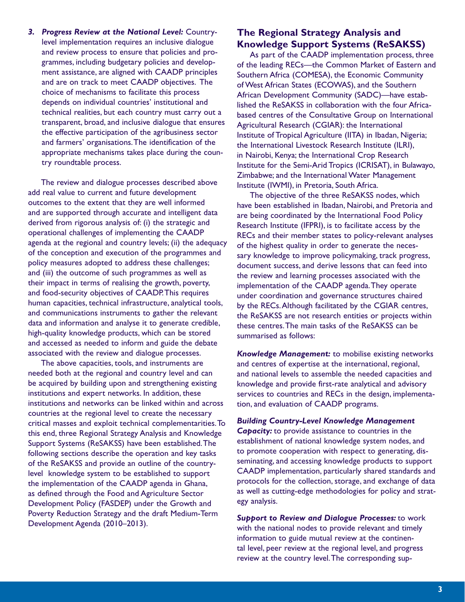*3. Progress Review at the National Level:* Countrylevel implementation requires an inclusive dialogue and review process to ensure that policies and programmes, including budgetary policies and development assistance, are aligned with CAADP principles and are on track to meet CAADP objectives. The choice of mechanisms to facilitate this process depends on individual countries' institutional and technical realities, but each country must carry out a transparent, broad, and inclusive dialogue that ensures the effective participation of the agribusiness sector and farmers' organisations. The identification of the appropriate mechanisms takes place during the country roundtable process.

The review and dialogue processes described above add real value to current and future development outcomes to the extent that they are well informed and are supported through accurate and intelligent data derived from rigorous analysis of: (i) the strategic and operational challenges of implementing the CAADP agenda at the regional and country levels; (ii) the adequacy of the conception and execution of the programmes and policy measures adopted to address these challenges; and (iii) the outcome of such programmes as well as their impact in terms of realising the growth, poverty, and food-security objectives of CAADP. This requires human capacities, technical infrastructure, analytical tools, and communications instruments to gather the relevant data and information and analyse it to generate credible, high-quality knowledge products, which can be stored and accessed as needed to inform and guide the debate associated with the review and dialogue processes.

The above capacities, tools, and instruments are needed both at the regional and country level and can be acquired by building upon and strengthening existing institutions and expert networks. In addition, these institutions and networks can be linked within and across countries at the regional level to create the necessary critical masses and exploit technical complementarities. To this end, three Regional Strategy Analysis and Knowledge Support Systems (ReSAKSS) have been established. The following sections describe the operation and key tasks of the ReSAKSS and provide an outline of the countrylevel knowledge system to be established to support the implementation of the CAADP agenda in Ghana, as defined through the Food and Agriculture Sector Development Policy (FASDEP) under the Growth and Poverty Reduction Strategy and the draft Medium-Term Development Agenda (2010–2013).

#### **The Regional Strategy Analysis and Knowledge Support Systems (ReSAKSS)**

As part of the CAADP implementation process, three of the leading RECs—the Common Market of Eastern and Southern Africa (COMESA), the Economic Community of West African States (ECOWAS), and the Southern African Development Community (SADC)—have established the ReSAKSS in collaboration with the four Africabased centres of the Consultative Group on International Agricultural Research (CGIAR): the International Institute of Tropical Agriculture (IITA) in Ibadan, Nigeria; the International Livestock Research Institute (ILRI), in Nairobi, Kenya; the International Crop Research Institute for the Semi-Arid Tropics (ICRISAT), in Bulawayo, Zimbabwe; and the International Water Management Institute (IWMI), in Pretoria, South Africa.

The objective of the three ReSAKSS nodes, which have been established in Ibadan, Nairobi, and Pretoria and are being coordinated by the International Food Policy Research Institute (IFPRI), is to facilitate access by the RECs and their member states to policy-relevant analyses of the highest quality in order to generate the necessary knowledge to improve policymaking, track progress, document success, and derive lessons that can feed into the review and learning processes associated with the implementation of the CAADP agenda. They operate under coordination and governance structures chaired by the RECs. Although facilitated by the CGIAR centres, the ReSAKSS are not research entities or projects within these centres. The main tasks of the ReSAKSS can be summarised as follows:

*Knowledge Management:* to mobilise existing networks and centres of expertise at the international, regional, and national levels to assemble the needed capacities and knowledge and provide first-rate analytical and advisory services to countries and RECs in the design, implementation, and evaluation of CAADP programs.

*Building Country-Level Knowledge Management Capacity:* to provide assistance to countries in the establishment of national knowledge system nodes, and to promote cooperation with respect to generating, disseminating, and accessing knowledge products to support CAADP implementation, particularly shared standards and protocols for the collection, storage, and exchange of data as well as cutting-edge methodologies for policy and strategy analysis.

*Support to Review and Dialogue Processes:* to work with the national nodes to provide relevant and timely information to guide mutual review at the continental level, peer review at the regional level, and progress review at the country level. The corresponding sup-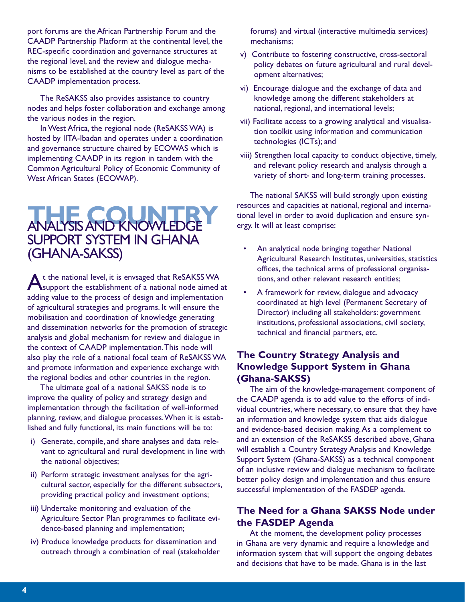port forums are the African Partnership Forum and the CAADP Partnership Platform at the continental level, the REC-specific coordination and governance structures at the regional level, and the review and dialogue mechanisms to be established at the country level as part of the CAADP implementation process.

The ReSAKSS also provides assistance to country nodes and helps foster collaboration and exchange among the various nodes in the region.

In West Africa, the regional node (ReSAKSS WA) is hosted by IITA-Ibadan and operates under a coordination and governance structure chaired by ECOWAS which is implementing CAADP in its region in tandem with the Common Agricultural Policy of Economic Community of West African States (ECOWAP).

# **THE COUNTRY** ANALYSIS AND KNOWLEDGE SUPPORT SYSTEM IN GHANA (GHANA-SAKSS)

At the national level, it is envsaged that ReSAKSS WA support the establishment of a national node aimed at adding value to the process of design and implementation of agricultural strategies and programs. It will ensure the mobilisation and coordination of knowledge generating and dissemination networks for the promotion of strategic analysis and global mechanism for review and dialogue in the context of CAADP implementation. This node will also play the role of a national focal team of ReSAKSS WA and promote information and experience exchange with the regional bodies and other countries in the region.

The ultimate goal of a national SAKSS node is to improve the quality of policy and strategy design and implementation through the facilitation of well-informed planning, review, and dialogue processes. When it is established and fully functional, its main functions will be to:

- i) Generate, compile, and share analyses and data relevant to agricultural and rural development in line with the national objectives;
- ii) Perform strategic investment analyses for the agricultural sector, especially for the different subsectors, providing practical policy and investment options;
- iii) Undertake monitoring and evaluation of the Agriculture Sector Plan programmes to facilitate evidence-based planning and implementation;
- iv) Produce knowledge products for dissemination and outreach through a combination of real (stakeholder

forums) and virtual (interactive multimedia services) mechanisms;

- v) Contribute to fostering constructive, cross-sectoral policy debates on future agricultural and rural development alternatives;
- vi) Encourage dialogue and the exchange of data and knowledge among the different stakeholders at national, regional, and international levels;
- vii) Facilitate access to a growing analytical and visualisation toolkit using information and communication technologies (ICTs); and
- viii) Strengthen local capacity to conduct objective, timely, and relevant policy research and analysis through a variety of short- and long-term training processes.

The national SAKSS will build strongly upon existing resources and capacities at national, regional and international level in order to avoid duplication and ensure synergy. It will at least comprise:

- An analytical node bringing together National Agricultural Research Institutes, universities, statistics offices, the technical arms of professional organisations, and other relevant research entities;
- A framework for review, dialogue and advocacy coordinated at high level (Permanent Secretary of Director) including all stakeholders: government institutions, professional associations, civil society, technical and financial partners, etc.

## **The Country Strategy Analysis and Knowledge Support System in Ghana (Ghana-SAKSS)**

The aim of the knowledge-management component of the CAADP agenda is to add value to the efforts of individual countries, where necessary, to ensure that they have an information and knowledge system that aids dialogue and evidence-based decision making. As a complement to and an extension of the ReSAKSS described above, Ghana will establish a Country Strategy Analysis and Knowledge Support System (Ghana-SAKSS) as a technical component of an inclusive review and dialogue mechanism to facilitate better policy design and implementation and thus ensure successful implementation of the FASDEP agenda.

## **The Need for a Ghana SAKSS Node under the FASDEP Agenda**

At the moment, the development policy processes in Ghana are very dynamic and require a knowledge and information system that will support the ongoing debates and decisions that have to be made. Ghana is in the last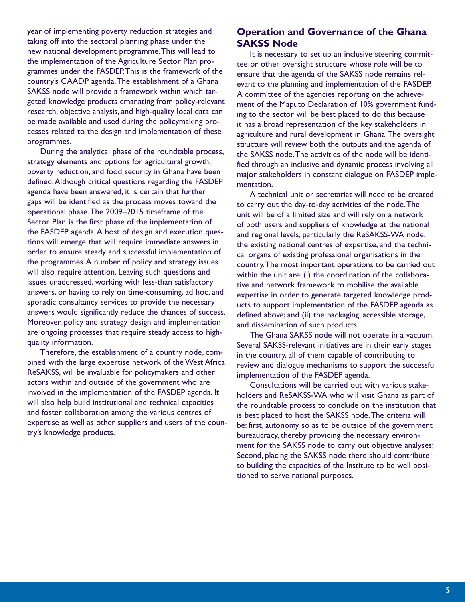year of implementing poverty reduction strategies and taking off into the sectoral planning phase under the new national development programme. This will lead to the implementation of the Agriculture Sector Plan programmes under the FASDEP. This is the framework of the country's CAADP agenda. The establishment of a Ghana SAKSS node will provide a framework within which targeted knowledge products emanating from policy-relevant research, objective analysis, and high-quality local data can be made available and used during the policymaking processes related to the design and implementation of these programmes.

During the analytical phase of the roundtable process, strategy elements and options for agricultural growth, poverty reduction, and food security in Ghana have been defined. Although critical questions regarding the FASDEP agenda have been answered, it is certain that further gaps will be identified as the process moves toward the operational phase. The 2009–2015 timeframe of the Sector Plan is the first phase of the implementation of the FASDEP agenda. A host of design and execution questions will emerge that will require immediate answers in order to ensure steady and successful implementation of the programmes. A number of policy and strategy issues will also require attention. Leaving such questions and issues unaddressed, working with less-than satisfactory answers, or having to rely on time-consuming, ad hoc, and sporadic consultancy services to provide the necessary answers would significantly reduce the chances of success. Moreover, policy and strategy design and implementation are ongoing processes that require steady access to highquality information.

Therefore, the establishment of a country node, combined with the large expertise network of the West Africa ReSAKSS, will be invaluable for policymakers and other actors within and outside of the government who are involved in the implementation of the FASDEP agenda. It will also help build institutional and technical capacities and foster collaboration among the various centres of expertise as well as other suppliers and users of the country's knowledge products.

## **Operation and Governance of the Ghana SAKSS Node**

It is necessary to set up an inclusive steering committee or other oversight structure whose role will be to ensure that the agenda of the SAKSS node remains relevant to the planning and implementation of the FASDEP. A committee of the agencies reporting on the achievement of the Maputo Declaration of 10% government funding to the sector will be best placed to do this because it has a broad representation of the key stakeholders in agriculture and rural development in Ghana. The oversight structure will review both the outputs and the agenda of the SAKSS node. The activities of the node will be identified through an inclusive and dynamic process involving all major stakeholders in constant dialogue on FASDEP implementation.

A technical unit or secretariat will need to be created to carry out the day-to-day activities of the node. The unit will be of a limited size and will rely on a network of both users and suppliers of knowledge at the national and regional levels, particularly the ReSAKSS-WA node, the existing national centres of expertise, and the technical organs of existing professional organisations in the country. The most important operations to be carried out within the unit are: (i) the coordination of the collaborative and network framework to mobilise the available expertise in order to generate targeted knowledge products to support implementation of the FASDEP agenda as defined above; and (ii) the packaging, accessible storage, and dissemination of such products.

The Ghana SAKSS node will not operate in a vacuum. Several SAKSS-relevant initiatives are in their early stages in the country, all of them capable of contributing to review and dialogue mechanisms to support the successful implementation of the FASDEP agenda.

Consultations will be carried out with various stakeholders and ReSAKSS-WA who will visit Ghana as part of the roundtable process to conclude on the institution that is best placed to host the SAKSS node. The criteria will be: first, autonomy so as to be outside of the government bureaucracy, thereby providing the necessary environment for the SAKSS node to carry out objective analyses; Second, placing the SAKSS node there should contribute to building the capacities of the Institute to be well positioned to serve national purposes.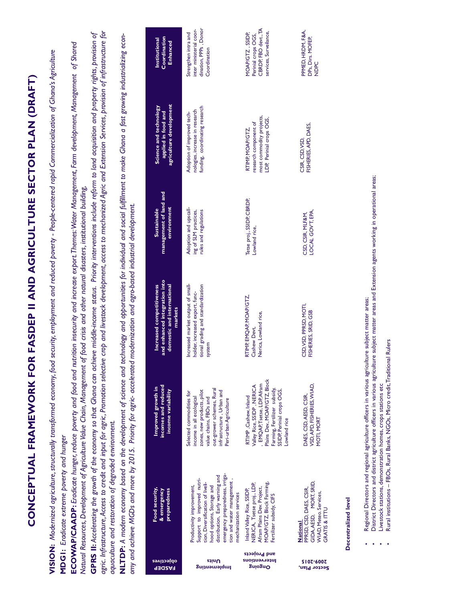|                                                 | ECOWAP/CAADP: Eradicate hunger, reduce poverty and food and<br>aquaculture and restoration of degraded environment.<br>MDGI: Eradicate extreme poverty and hunger                                                                                      |                                                                                                                                                                                                  | agric. Infrastructure, Access to credit and input for agric, Promotion selective crop and livestock development, access to mechanized Agric and Extension Services, provision of infrastructure for<br>GPRS II: Accelerating the growth of the economy so that Ghana can achieve middle-income status. Priority interventions include reform to land acquisition and property rights, provision of<br>NLTDP: A modern economy based on the development of science and technology and opportunities for individual and social fulfillment to make Ghana a fast growing industrializing econ-<br>nutrition insecurity and increase export. Themes: Water Management, Farm development, Management of Shared<br>VISION: Modernized agriculture, structurally transformed economy, food security, employment and reduced poverty - People-centered rapid Commercialization of Ghana's Agriculture<br>CONCEPTUAL FRAMEWORK FOR FASDEP II AND AGRICULTURE SECTOR PLAN (DRAFT)<br>Natural Resources, Development of Agriculture Value Chain, Management of food crisis and other natural disasters, institutional building,<br>omy and achieve MGDs and more by 2015. Priority for agric- accelerated modernization and agro-based industrial development. |                                                                         |                                                                                                   |                                                                                           |
|-------------------------------------------------|--------------------------------------------------------------------------------------------------------------------------------------------------------------------------------------------------------------------------------------------------------|--------------------------------------------------------------------------------------------------------------------------------------------------------------------------------------------------|-----------------------------------------------------------------------------------------------------------------------------------------------------------------------------------------------------------------------------------------------------------------------------------------------------------------------------------------------------------------------------------------------------------------------------------------------------------------------------------------------------------------------------------------------------------------------------------------------------------------------------------------------------------------------------------------------------------------------------------------------------------------------------------------------------------------------------------------------------------------------------------------------------------------------------------------------------------------------------------------------------------------------------------------------------------------------------------------------------------------------------------------------------------------------------------------------------------------------------------------------------|-------------------------------------------------------------------------|---------------------------------------------------------------------------------------------------|-------------------------------------------------------------------------------------------|
| epjectives<br><b>RASDEP</b>                     | Food security,<br>& emergency<br>preparedness                                                                                                                                                                                                          | incomes and reduced<br>Improved growth in<br>income variability                                                                                                                                  | and enhanced integration into<br>domestic and international<br>Increased competitiveness<br>markets                                                                                                                                                                                                                                                                                                                                                                                                                                                                                                                                                                                                                                                                                                                                                                                                                                                                                                                                                                                                                                                                                                                                                 | management of land and<br>environment<br>Sustainable                    | agriculture development<br>Science and technology<br>applied in food and                          | Coordination<br>Institutional<br><b>Enhanced</b>                                          |
| Units<br>իաթյաններն                             | emergency preparedness, irriga-<br>distribution, Early warning and<br>Support to improved nutri-<br>tion and water management,<br>tion, Diversification of liveli-<br>hood options, Storage and<br>Productivity improvement,<br>mechanization services | out-grower schemes, Rural<br>zones, new products, pilot<br>infrastructure, Urban and<br>Selected commodities for<br>income in all ecological<br>value chains, FBOs and<br>Peri-urban Agriculture | Increased market output of small-<br>tional grading and standardization<br>holder, increased export, func-<br>system                                                                                                                                                                                                                                                                                                                                                                                                                                                                                                                                                                                                                                                                                                                                                                                                                                                                                                                                                                                                                                                                                                                                | Adoption and upscall-<br>ing of SLM practices,<br>rules and regulations | funding, coordinating research<br>nologies, increase in research<br>Adoption of improved tech-    | dination, PPPs, Donor<br>inter ministerial coor-<br>Strengthen intra and<br>Coordination  |
| and Projects<br>Interventions<br><b>SujoSuO</b> | MOAP/GTZ, Block Farming,<br>NERICA, Tsetse proj., LDP,<br>Afram Plains Dev. Project,<br>Inland Valley Rice, SSIDP,<br>Fertilizer subsidy, CIFS                                                                                                         | Plains Dev., MOAP/GTZ, Block<br>. EMQAP, Tsetse, LDP, Afram<br>Valley Rice, SSIDP, NERICA<br>Farming, Fertilizer subsidy,<br>SSIDP, Perinial crops OGS,<br>RTIMP, Cashew, Inland<br>Lowland rice | RTIMP, EMQAP, MOAP/GTZ,<br>Nerica, Lowland rice,<br>Cashew Devt,                                                                                                                                                                                                                                                                                                                                                                                                                                                                                                                                                                                                                                                                                                                                                                                                                                                                                                                                                                                                                                                                                                                                                                                    | Tetse proj., SSIDP, CBRDP,<br>Lowland rice,                             | most commodity projects,<br>LDP, Perinial crops OGS,<br>research component of<br>RTIMP, MOAP/GTZ, | CBRDP, FBO devt., TA<br>services, Surveilance,<br>MOAP/GTZ, SSIDP,<br>Perinial crops OGS, |
| <b>SI07-6007</b><br>Sector Plan,                | MORT, SRID,<br>PPRSD, CSD, DAES, CSIR,<br><b>WIAD, Meteo. Services,</b><br><b>GRATIS &amp; ITTU</b><br>GIDA, AESD,<br>National                                                                                                                         | VSD, APD, FISHERIES, WIAD,<br>DAES, CSD, AESD, CSIR,<br>MOTI, MORT                                                                                                                               | CSD, VSD, PPRSD, MOTI,<br>FISHERIES, SRID, GSB                                                                                                                                                                                                                                                                                                                                                                                                                                                                                                                                                                                                                                                                                                                                                                                                                                                                                                                                                                                                                                                                                                                                                                                                      | LOCAL GOVT, EPA,<br>CSD, CSIR, MLF&M,                                   | FISHERIES, APD, DAES,<br>CSIR, CSD, VSD,                                                          | PPMED, HRDM, F&A,<br>DPs, Dirs. MOFEP,<br>NDPC                                            |
|                                                 | Decentralized level                                                                                                                                                                                                                                    | Regional Directors and regional agriculture officers in various agriculture subject matter areas;                                                                                                |                                                                                                                                                                                                                                                                                                                                                                                                                                                                                                                                                                                                                                                                                                                                                                                                                                                                                                                                                                                                                                                                                                                                                                                                                                                     |                                                                         |                                                                                                   |                                                                                           |
|                                                 | Livestock stations, demonstration homes, crops stations etc<br>$\bullet$                                                                                                                                                                               | Rural institutions - FBOs, Rural Banks, NGOs, Micro credit, Traditional Rulers                                                                                                                   | District Directors and district agriculture officers in various agriculture subject matter areas and Extension agents working in operational areas;                                                                                                                                                                                                                                                                                                                                                                                                                                                                                                                                                                                                                                                                                                                                                                                                                                                                                                                                                                                                                                                                                                 |                                                                         |                                                                                                   |                                                                                           |
|                                                 |                                                                                                                                                                                                                                                        |                                                                                                                                                                                                  |                                                                                                                                                                                                                                                                                                                                                                                                                                                                                                                                                                                                                                                                                                                                                                                                                                                                                                                                                                                                                                                                                                                                                                                                                                                     |                                                                         |                                                                                                   |                                                                                           |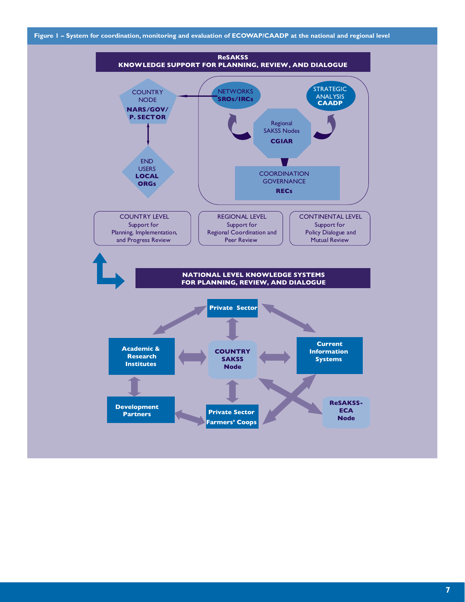